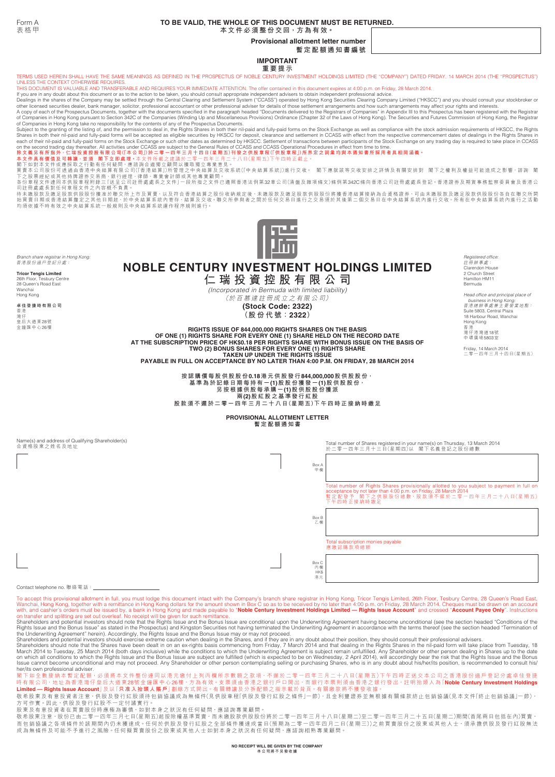# **TO BE VALID, THE WHOLE OF THIS DOCUMENT MUST BE RETURNED.**

**本文件必須整份交回,方為有效。**

**Provisional allotment letter number**

**暫定配額通知書編號**

**IMPORTANT 重要提示**

TERMS USED HEREIN SHALL HAVE THE SAME MEANINGS AS DEFINED IN THE PROSPECTUS OF NOBLE CENTURY INVESTMENT HOLDINGS LIMITED (THE "COMPANY") DATED FRIDAY, 14 MARCH 2014 (THE "PROSPECTUS") UNLESS THE CONTEXT OTHERWISE REQUIRES. THIS DOCUMENT IS VALUABLE AND TRANSFERABLE AND REQUIRES YOUR IMMEDIATE ATTENTION. The offer contained in this document expires at 4:00 p.m. on Friday, 28 March 2014.

lf you are in any doubt about this document or as to the action to be taken, you should consult appropriate independent advisers to obtain independent professional advice.<br>Dealings in the shares of the Company may be settl

A copy of each of the Prospectus Documents, together with the documents specified in the paragraph headed "Documents delivered to the Registrars of Companies" in Appendix III to this Prospectus has been registered with t

閣下如對本文件或應採取之行動有任何疑問,應諮詢合適獨立顧問以獲取獨立專業意見。<br>買賣本公司股份可透過由看港中央結算有限公司(香港結論)公司所管理之中央結算及交收系統(「中央結算系統」)進行交收。 閣下應就該等交收安排之詳情及有關安排對 閣下之權利及權益可能造成之影響 諮詢 閣<br>不分章程文件連同本供股章程附錄三[送呈公司註冊處處長之文件]一段所指之文件已遵照香港法例第322章公司(清盤及雜項條文)條例第342C條向香港公司註冊處處長登記。香



*Branch share registrar in Hong Kong:* 香港股份過戶登記分處:

**Tricor Tengis Limited** 26th Floor, Tesbury Centre 28 Queen's Road East

Wanchai Hong Kong **卓佳登捷時有限公司** 香港

灣仔 皇后大道東28號 金鐘匯中心26樓 **NOBLE CENTURY INVESTMENT HOLDINGS LIMITED 仁 瑞 投 資 控 股 有 限 公 司** *(Incorporated in Bermuda with limited liability)*

(於 百 慕 達 註 冊 成 立 之 有 限 公 司)

**(Stock Code: 2322) (股 份 代 號:2322)**

**RIGHTS ISSUE OF 844,000,000 RIGHTS SHARES ON THE BASIS OF ONE (1) RIGHTS SHARE FOR EVERY ONE (1) SHARE HELD ON THE RECORD DATE AT THE SUBSCRIPTION PRICE OF HK\$0.18 PER RIGHTS SHARE WITH BONUS ISSUE ON THE BASIS OF TWO (2) BONUS SHARES FOR EVERY ONE (1) RIGHTS SHARE TAKEN UP UNDER THE RIGHTS ISSUE PAYABLE IN FULL ON ACCEPTANCE BY NO LATER THAN 4:00 P.M. ON FRIDAY, 28 MARCH 2014**

**按認購價每股供股股份0.18港元供股發行844,000,000股供股股份, 基準為於記錄日期每持有一(1)股股份獲發一(1)股供股股份, 另按根據供股每承購一(1)股供股股份獲派 兩(2)股紅股之基準發行紅股 股款須不遲於二零一四年三月二十八日(星期五)下午四時正接納時繳足**

#### **PROVISIONAL ALLOTMENT LETTER 暫定配額通知書**

Name(s) and address of Qualifying Shareholder(s) 合資格股東之姓名及地址

Total number of Shares registered in your name(s) on Thursday, 13 March 2014 於二零一四年三月十三日(星期四)以 閣下名義登記之股份總數 Total number of Rights Shares provisionally allotted to you subject to payment in full on<br>acceptance by not later than 4:00 p.m. on Friday, 28 March 2014<br>暫定配發于,關下之供股股份總數 · 股款須不遲於二零一四年三月二十八日(星期五)<br>下午四時正接納時繳足 Total subscription monies payable 應繳認購款項總額  $Box$ 甲欄 Box B 乙欄 Box C 丙欄 HK\$ 港元

Contact telephone no. 聯絡電話:

To accept this provisional allotment in full, you must lodge this document intact with the Company's branch share registrar in Hong Kong, Tricor Tengis Limited, 26th Floor, Tesbury Centre, 28 Queen's Road East,<br>Wanchai, Ho

on a anono and potenting and societies and the Rights Issue and the Bonus Issue are conditional upon the Underwriting Agreement having become unconditional (see the section headed "Conditions of the Share and the Bonus Iss

Rights Issue and the Bonus Issue" as stated in the Prospectus) and Kingston Securities on that pluderwriting Agreement in accordance with the terms thereof (see the section headed "Termination of<br>Rights Issue and the Bonus her/its own professional adviser.

閣下如全數接納本暫定配額 ·必須將本文件整份連同以港元繳付上列丙欄所示數額之款項 ·不遲於二零一四年三月二十八日(星期五)下午四時正送交本公司之香港股份過戶登記分處卓佳登捷<br>時有限公司 · 地址為香港灣仔皇后大道東28號金鐘匯中心26樓 · 方為有效 » 支票須由香港之銀行戶口開出 · 而銀行本票則須由香港之銀行發出 · 註明抬頭人為「**Noble Century Investment Holdings**<br>**Limited — Right** 

敬希股東及有意投資者注意,快股及發行紅股須待包銷協議成為無條件(見供股章程[供股及發行紅股之條件」一節),且金利豐證券並無根據有關條款終止包銷協議(見本文件「終止包銷協議」一節), 方可作實。因此,供股及發行紅股不一定付諸實行。

。<br>股東及有意投資者在買賣股份時應極為審慎,如對本身之狀況有任何疑問,應諮詢專業顧問。

敬希股東注意,股份已由二零一四年三月七日(星期五)起按除權基準買賣,而未繳股款供股股份將於二零一四年三月十八日(星期二)至二零一四年三月二十五日(星期二)期間(首尾兩日包括在內)買賣,<br>而包銷協議之各項條件於該期間內仍未獲達成。任何於供股及發行紅股之全部條件獲達成當日(預期為二零一四年四月二日(星期三))之前買賣股份之股東或其他人士,須承擔供股及發行紅股無法 成為無條件及可能不予進行之風險。任何擬買賣股份之股東或其他人士如對本身之狀況有任何疑問,應諮詢相熟專業顧問。

*Registered office:* 註冊辦事處: Clarendon House 2 Church St Hamilton HM11 Bermuda

*Head office and principal place of business in Hong Kong:* 香港總辦事處兼主要營業地點: Suite 5803, Central Plaza 18 Harbour Road, Wanchai Hong Kong 香港 灣仔港灣道18號 中環廣場5803室

Friday, 14 March 2014 二零一四年三月十四日(星期五)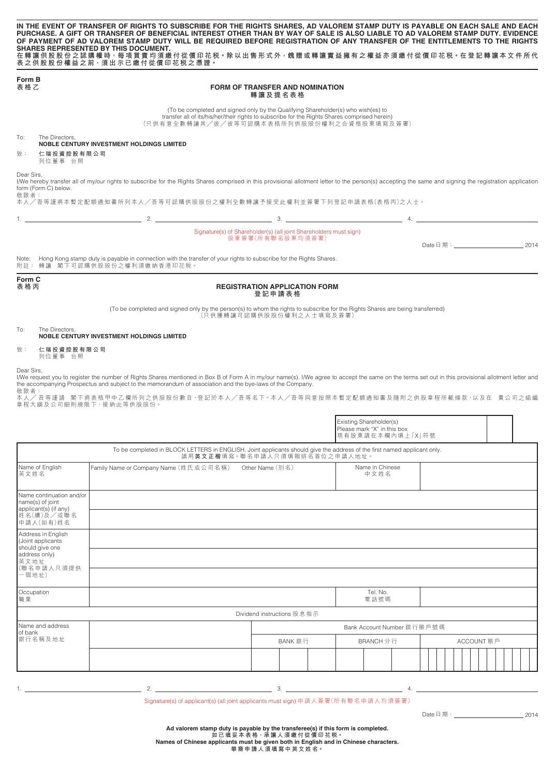| Form B                                     | 表之供股股份權益之前,須出示已繳付從價印花税之憑證。                                                                                |                                                                                                                                                                                                                                 |                                                                                                                                                                                                          |
|--------------------------------------------|-----------------------------------------------------------------------------------------------------------|---------------------------------------------------------------------------------------------------------------------------------------------------------------------------------------------------------------------------------|----------------------------------------------------------------------------------------------------------------------------------------------------------------------------------------------------------|
| 表格乙                                        |                                                                                                           | <b>FORM OF TRANSFER AND NOMINATION</b><br>轉讓及提名表格                                                                                                                                                                               |                                                                                                                                                                                                          |
|                                            |                                                                                                           | (To be completed and signed only by the Qualifying Shareholder(s) who wish(es) to<br>transfer all of its/his/her/their rights to subscribe for the Rights Shares comprised herein)<br>(只供有意全數轉讓其/彼/彼等可認購本表格所列供股股份權利之合資格股東填寫及簽署) |                                                                                                                                                                                                          |
| The Directors.<br>To:                      | <b>NOBLE CENTURY INVESTMENT HOLDINGS LIMITED</b>                                                          |                                                                                                                                                                                                                                 |                                                                                                                                                                                                          |
| 致:<br>仁瑞投資控股有限公司<br>列位董事 台照                |                                                                                                           |                                                                                                                                                                                                                                 |                                                                                                                                                                                                          |
| Dear Sirs.<br>form (Form C) below.<br>敬啟者: |                                                                                                           |                                                                                                                                                                                                                                 | I/We hereby transfer all of my/our rights to subscribe for the Rights Shares comprised in this provisional allotment letter to the person(s) accepting the same and signing the registration application |
|                                            |                                                                                                           | 本人/吾等謹將本暫定配額通知書所列本人/吾等可認購供股股份之權利全數轉讓予接受此權利並簽署下列登記申請表格(表格丙)之人士。<br>$\overline{2}$ .                                                                                                                                              | $\mathbf{3.}$ $\mathbf{4.}$                                                                                                                                                                              |
|                                            |                                                                                                           |                                                                                                                                                                                                                                 |                                                                                                                                                                                                          |
|                                            |                                                                                                           | Signature(s) of Shareholder(s) (all joint Shareholders must sign)<br>股東簽署(所有聯名股東均須簽署)                                                                                                                                           | Date 日 期:<br>2014                                                                                                                                                                                        |
|                                            | 附註:轉讓 閣下可認購供股股份之權利須繳納香港印花税。                                                                               | Note: Hong Kong stamp duty is payable in connection with the transfer of your rights to subscribe for the Rights Shares.                                                                                                        |                                                                                                                                                                                                          |
|                                            |                                                                                                           | <b>REGISTRATION APPLICATION FORM</b><br>登記申請表格                                                                                                                                                                                  |                                                                                                                                                                                                          |
|                                            |                                                                                                           | (To be completed and signed only by the person(s) to whom the rights to subscribe for the Rights Shares are being transferred)<br>(只供獲轉讓可認購供股股份權利之人士填寫及簽署)                                                                      |                                                                                                                                                                                                          |
| The Directors.                             | <b>NOBLE CENTURY INVESTMENT HOLDINGS LIMITED</b>                                                          |                                                                                                                                                                                                                                 |                                                                                                                                                                                                          |
| 致:<br>仁瑞投資控股有限公司<br>列位董事 台照                |                                                                                                           |                                                                                                                                                                                                                                 |                                                                                                                                                                                                          |
| Form C<br>表格丙<br>To:<br>Dear Sirs.<br>敬啟者: | the accompanying Prospectus and subject to the memorandum of association and the bye-laws of the Company. |                                                                                                                                                                                                                                 | I/We request you to register the number of Rights Shares mentioned in Box B of Form A in my/our name(s). I/We agree to accept the same on the terms set out in this provisional allotment letter and     |

|                                                                                                            |                                                                                                                                                                    |                            |  |  |           | Existing Shareholder(s)<br>Please mark "X" in this box<br>現有股東請在本欄內填上「X」符號 |  |            |  |  |  |  |  |  |
|------------------------------------------------------------------------------------------------------------|--------------------------------------------------------------------------------------------------------------------------------------------------------------------|----------------------------|--|--|-----------|----------------------------------------------------------------------------|--|------------|--|--|--|--|--|--|
|                                                                                                            | To be completed in BLOCK LETTERS in ENGLISH. Joint applicants should give the address of the first named applicant only.<br>請用 <b>英文正楷</b> 填寫。聯名申請人只須填報排名首位之申請人地址。 |                            |  |  |           |                                                                            |  |            |  |  |  |  |  |  |
| Name of English<br>英文姓名                                                                                    | Family Name or Company Name (姓氏或公司名稱)                                                                                                                              | Other Name (別名)            |  |  |           | Name in Chinese<br>中文姓名                                                    |  |            |  |  |  |  |  |  |
| Name continuation and/or<br>name(s) of joint<br>applicant(s) (if any)                                      |                                                                                                                                                                    |                            |  |  |           |                                                                            |  |            |  |  |  |  |  |  |
| 姓名(續)及/或聯名<br>申請人(如有)姓名                                                                                    |                                                                                                                                                                    |                            |  |  |           |                                                                            |  |            |  |  |  |  |  |  |
| Address in English<br>(Joint applicants<br>should give one<br>address only)<br>英文地址<br>(聯名申請人只須提供<br>一個地址) |                                                                                                                                                                    |                            |  |  |           |                                                                            |  |            |  |  |  |  |  |  |
|                                                                                                            |                                                                                                                                                                    |                            |  |  |           |                                                                            |  |            |  |  |  |  |  |  |
|                                                                                                            |                                                                                                                                                                    |                            |  |  |           |                                                                            |  |            |  |  |  |  |  |  |
| Occupation<br>職業                                                                                           |                                                                                                                                                                    |                            |  |  |           | Tel. No.<br>電話號碼                                                           |  |            |  |  |  |  |  |  |
|                                                                                                            |                                                                                                                                                                    | Dividend instructions 股息指示 |  |  |           |                                                                            |  |            |  |  |  |  |  |  |
| Name and address<br>of bank<br>銀行名稱及地址                                                                     |                                                                                                                                                                    | Bank Account Number 銀行賬戶號碼 |  |  |           |                                                                            |  |            |  |  |  |  |  |  |
|                                                                                                            |                                                                                                                                                                    | BANK 銀行                    |  |  | BRANCH 分行 |                                                                            |  | ACCOUNT 賬戶 |  |  |  |  |  |  |
|                                                                                                            |                                                                                                                                                                    |                            |  |  |           |                                                                            |  |            |  |  |  |  |  |  |

Signature(s) of applicant(s) (all joint applicants must sign) 申請人簽署(所有聯名申請人均須簽署)

1.  $2.$   $3.$   $4.$ 

Date日期: 2014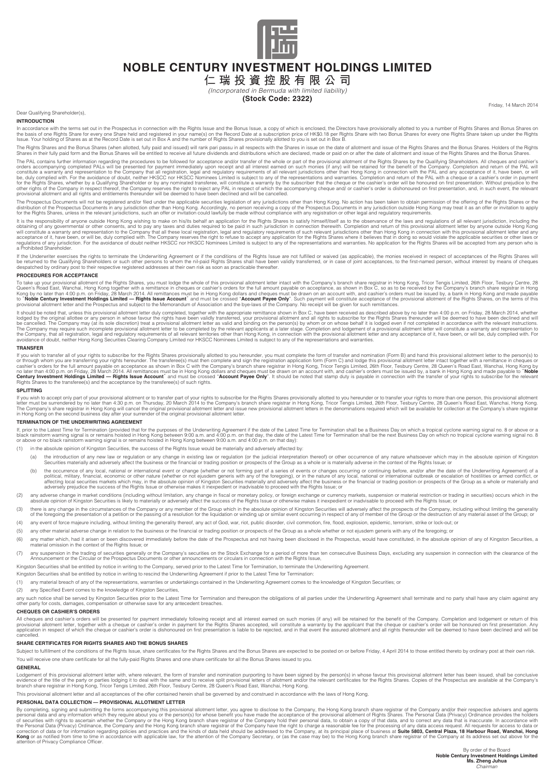

# **NOBLE CENTURY INVESTMENT HOLDINGS LIMITED**

**仁 瑞 投 資 控 股 有 限 公 司**

*(Incorporated in Bermuda with limited liability)*

# **(Stock Code: 2322)**

Dear Qualifying Shareholder(s),

### **INTRODUCTION**

In accordance with the terms set out in the Prospectus in connection with the Rights Issue and the Bonus Issue, a copy of which is enclosed, the Directors have provisionally allotted to you a number of Rights Shares and Bo

The Rights Shares and the Bonus Shares (when allotted, fully paid and issued) will rank pari passu in all respects with the Shares in issue on the date of allotment and issue of the Rights Shares and the Bonus Shares. Hold

The PAL contains further information regarding the procedures to be followed for acceptance and/or transfer of the vinble or part fith Phights Shareholders. All cheques and cashier's information regarding the provisional a

The Prospectus Documents will not be registered and/or filed under the applicable securities legislation of any jurisdictions other than Hong Kong. No action has been taken to obtain permission of the offering of the Right

It is the responsibility of anyone outside Hong Kong wishing to make on his/its behalf an application for the Rights Shares to satisfy himself/itself as to the observance of the laws and regulations of all relevant jurisdi obtaining of any governmental or other consents, and to pay any taxes and duties required to be paid in such jurisdiction in connection therewith. Completion and relution to the company that all these local registration, l

lf the Underwriter exercises the rights to terminate the Underwriting Agreement or if the conditions of the Rights Issue are not fulfilled or waived (as applicable), the monies received in respect of acceptances of the Rig

#### **PROCEDURES FOR ACCEPTANCE**

To take up your provisional allotment of the Rights Shares, you must lodge the whole of this provisional allotment letter intact with the Company's branch share registrar in Hong Kong Collect Care Company's Dram (and the R

It should be noted that, unless this provisional allotment letter duly completed, together with the appropriate remittance shown in Box C, have been received as described above by no later than 4:00 p.m. on Friday, 28 Marc

#### **TRANSFER**

lf you wish to transfer all of your rights to subscribe for the Rights Shares provisionally allotted to you hereunder, you must complete the form of transfer and nomination (Form B) and hand this provisional allotment lett no later than 4:00 p.m. on Friday, 28 March 2014. All remittances must be in Hong Kong dollars and cheques must be drawn on an account with, and cashier's orders must be issued by, a bank in Hong Kong and made payable to "

#### **SPLITTING**

If you wish to accept only part of your provisional allotment or to transfer part of your rights to subscribe for the Rights Shares provisionally allotted to you hereunder or to transfer your rights to more than one person

#### **TERMINATION OF THE UNDERWRITING AGREEMENT**

lf, prior to the Latest Time for Termination (provided that for the purposes of the Underwriting Agreement if the date of the Latest Time for Termination shall be a Business Day on which a tropical cyclone warning signal n

- (1) in the absolute opinion of Kingston Securities, the success of the Rights Issue would be materially and adversely affected by:
	- (a) the introduction of any new law or requisiton or any change in existing law or requisition (or the judicial interpretation thereof) or other occurrence of any nature whatsoever which may in the absolute opinion of King Securities materially and adversely affect the business or the financial or trading position or prospects of the Group as a whole or is materially adverse in the context of the Rights Issue; or
	- (b) the occurrence of any local, national or international event or change (whether or not forming part of a series of events or changes occurring or continuing before, and/or after the date of the Underwriting Agreement)
- (2) any adverse change in market conditions (including without limitation, any change in fiscal or monetary policy, or foreign exchange or currency markets, suspension or mathrous about enging in securities) occurs which i
- (3) there is any change in the circumstances of the Company or any member of the Group which in the absolute opinion of Kingston Securities will adversely affect the prospects of the Company including without limiting the of the foregoing the presentation of a petition or the passing of a resolution for the liquidation or winding up or similar event occurring in respect of any of member of the Group or the destruction of any material asset
- (4) any event of force majeure including, without limiting the generality thereof, any act of God, war, riot, public disorder, civil commotion, fire, flood, explosion, epidemic, terrorism, strike or lock-out; or
- (5) any other material adverse change in relation to the business or the financial or trading position or prospects of the Group as a whole whether or not ejusdem generis with any of the foregoing; or
- (6) any matter which, had it arisen or been discovered immediately before the date of the Prospectus and not having been disclosed in the Prospectus, would have constituted, in the absolute opinion of any of Kingston Secur material omission in the context of the Rights Issue; or
- (7) any suspension in the trading of securities generally or the Company's securities on the Stock Exchange for a period of more than ten consecutive Business Days, excluding any suspension in connection with the clearance Announcement or the Circular or the Prospectus Documents or other announcements or circulars in connection with the Rights Issue, and the Rights Islamic with the Rights Islamic with the Rights Islamic with the Rights Islam
- Kingston Securities shall be entitled by notice in writing to the Company, served prior to the Latest Time for Termination, to terminate the Underwriting Agreement.

Kingston Securities shall be entitled by notice in writing to rescind the Underwriting Agreement if prior to the Latest Time for Termination:

- (1) any material breach of any of the representations, warranties or undertakings contained in the Underwriting Agreement comes to the knowledge of Kingston Securities; or
- (2) any Specified Event comes to the knowledge of Kingston Securities,

any such notice shall be served by Kingston Securities prior to the Latest Time for Termination and thereupon the obligations of all parties under the Underwriting Agreement shall terminate and no party shall have any clai

#### **CHEQUES OR CASHIER'S ORDERS**

All cheques and cashier's orders will be presented for payment immediately following receipt and all interest earned on such monies (if any) will be retained for the benefit of the Company. Completion and lodgement or retu cancelled.

#### **SHARE CERTIFICATES FOR RIGHTS SHARES AND THE BONUS SHARES**

Subject to fulfillment of the conditions of the Rights Issue, share certificates for the Rights Shares and the Bonus Shares are expected to be posted on or before Friday, 4 April 2014 to those entitled thereto by ordinary You will receive one share certificate for all the fully-paid Rights Shares and one share certificate for all the Bonus Shares issued to you.

#### **GENERAL**

Lodgement of this provisional allotment letter with, where relevant, the form of transfer and nomination purporting to have been signed by the person(s) in whose favour this provisional allotment letter has been issued, sh

This provisional allotment letter and all acceptances of the offer contained herein shall be governed by and construed in accordance with the laws of Hong Kong.

#### **PERSONAL DATA COLLECTION — PROVISIONAL ALLOTMENT LETTER**

By completing, signing and submitting the forms accompanying this provisional allotment letter, you agree to disclose to the Company, the Hong Kong branch share registrar of the Company and/or their respective advisers and attention of Privacy Compliance Officer.

Friday, 14 March 2014